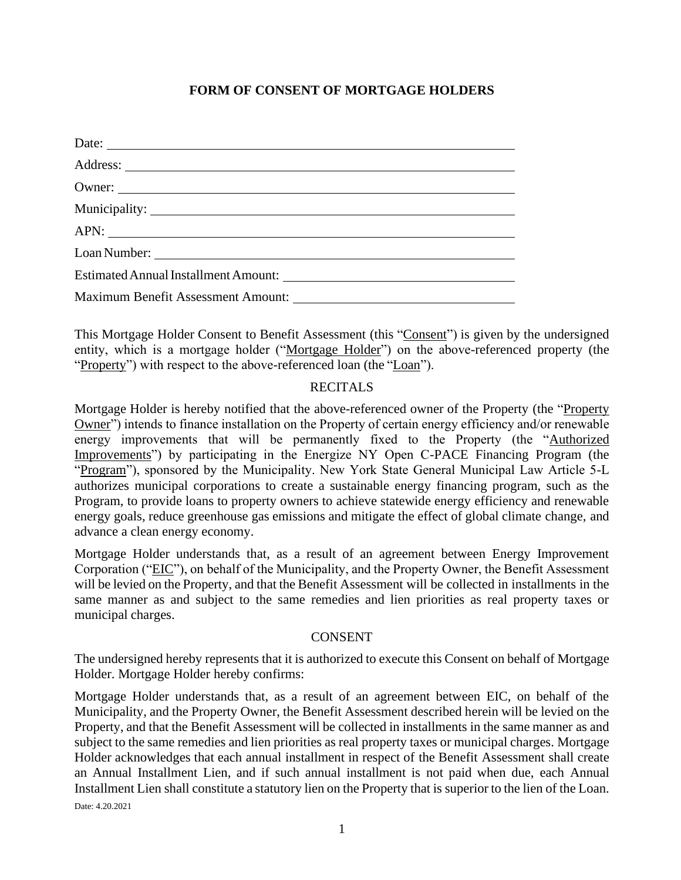## **FORM OF CONSENT OF MORTGAGE HOLDERS**

| Date:  |
|--------|
|        |
| Owner: |
|        |
|        |
|        |
|        |
|        |

This Mortgage Holder Consent to Benefit Assessment (this "Consent") is given by the undersigned entity, which is a mortgage holder ("Mortgage Holder") on the above-referenced property (the "Property") with respect to the above-referenced loan (the "Loan").

## RECITALS

Mortgage Holder is hereby notified that the above-referenced owner of the Property (the "Property Owner") intends to finance installation on the Property of certain energy efficiency and/or renewable energy improvements that will be permanently fixed to the Property (the "Authorized Improvements") by participating in the Energize NY Open C-PACE Financing Program (the "Program"), sponsored by the Municipality. New York State General Municipal Law Article 5-L authorizes municipal corporations to create a sustainable energy financing program, such as the Program, to provide loans to property owners to achieve statewide energy efficiency and renewable energy goals, reduce greenhouse gas emissions and mitigate the effect of global climate change, and advance a clean energy economy.

Mortgage Holder understands that, as a result of an agreement between Energy Improvement Corporation ("EIC"), on behalf of the Municipality, and the Property Owner, the Benefit Assessment will be levied on the Property, and that the Benefit Assessment will be collected in installments in the same manner as and subject to the same remedies and lien priorities as real property taxes or municipal charges.

## CONSENT

The undersigned hereby represents that it is authorized to execute this Consent on behalf of Mortgage Holder. Mortgage Holder hereby confirms:

Date: 4.20.2021 Mortgage Holder understands that, as a result of an agreement between EIC, on behalf of the Municipality, and the Property Owner, the Benefit Assessment described herein will be levied on the Property, and that the Benefit Assessment will be collected in installments in the same manner as and subject to the same remedies and lien priorities as real property taxes or municipal charges. Mortgage Holder acknowledges that each annual installment in respect of the Benefit Assessment shall create an Annual Installment Lien, and if such annual installment is not paid when due, each Annual Installment Lien shall constitute a statutory lien on the Property that is superior to the lien of the Loan.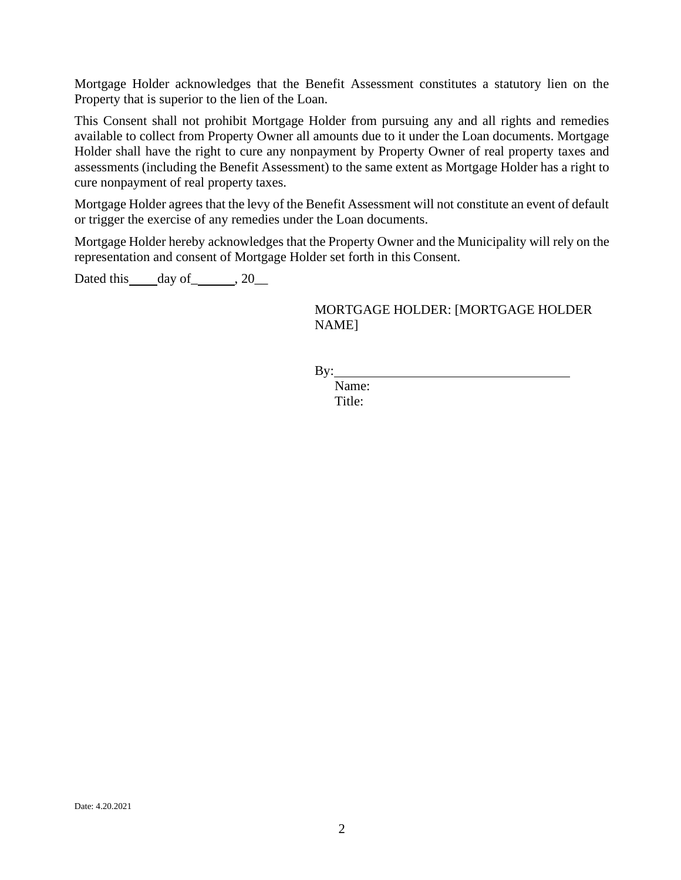Mortgage Holder acknowledges that the Benefit Assessment constitutes a statutory lien on the Property that is superior to the lien of the Loan.

This Consent shall not prohibit Mortgage Holder from pursuing any and all rights and remedies available to collect from Property Owner all amounts due to it under the Loan documents. Mortgage Holder shall have the right to cure any nonpayment by Property Owner of real property taxes and assessments (including the Benefit Assessment) to the same extent as Mortgage Holder has a right to cure nonpayment of real property taxes.

Mortgage Holder agrees that the levy of the Benefit Assessment will not constitute an event of default or trigger the exercise of any remedies under the Loan documents.

Mortgage Holder hereby acknowledges that the Property Owner and the Municipality will rely on the representation and consent of Mortgage Holder set forth in this Consent.

Dated this  $\_\$  day of  $\_\_\_\$  , 20 $\_\_\_\$ 

MORTGAGE HOLDER: [MORTGAGE HOLDER NAME]

By:

Name: Title: